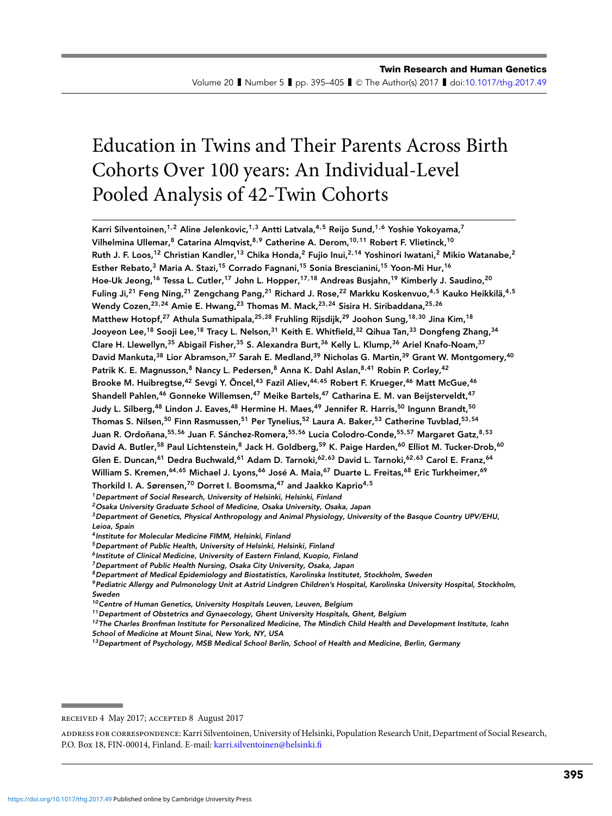# Education in Twins and Their Parents Across Birth Cohorts Over 100 years: An Individual-Level Pooled Analysis of 42-Twin Cohorts

**Karri Silventoinen,1,2 Aline Jelenkovic,1,3 Antti Latvala,4,5 Reijo Sund,1,6 Yoshie Yokoyama,<sup>7</sup> Vilhelmina Ullemar,<sup>8</sup> Catarina Almqvist,8,9 Catherine A. Derom,10,11 Robert F. Vlietinck,<sup>10</sup> Ruth J. F. Loos,<sup>12</sup> Christian Kandler,<sup>13</sup> Chika Honda,<sup>2</sup> Fujio Inui,2,14 Yoshinori Iwatani,<sup>2</sup> Mikio Watanabe,<sup>2</sup> Esther Rebato,<sup>3</sup> Maria A. Stazi,<sup>15</sup> Corrado Fagnani,15 Sonia Brescianini,15 Yoon-Mi Hur,<sup>16</sup> Hoe-Uk Jeong,<sup>16</sup> Tessa L. Cutler,<sup>17</sup> John L. Hopper,17,18 Andreas Busjahn,<sup>19</sup> Kimberly J. Saudino,<sup>20</sup> Fuling Ji,<sup>21</sup> Feng Ning,<sup>21</sup> Zengchang Pang,<sup>21</sup> Richard J. Rose,<sup>22</sup> Markku Koskenvuo,4,5 Kauko Heikkilä,4,5** Wendy Cozen,<sup>23,24</sup> Amie E. Hwang,<sup>23</sup> Thomas M. Mack,<sup>23,24</sup> Sisira H. Siribaddana,<sup>25,26</sup> **Matthew Hotopf,<sup>27</sup> Athula Sumathipala,25,28 Fruhling Rijsdijk,29 Joohon Sung,18,30 Jina Kim,<sup>18</sup> Jooyeon Lee,<sup>18</sup> Sooji Lee,<sup>18</sup> Tracy L. Nelson,<sup>31</sup> Keith E. Whitfield,32 Qihua Tan,<sup>33</sup> Dongfeng Zhang,<sup>34</sup> Clare H. Llewellyn,<sup>35</sup> Abigail Fisher,<sup>35</sup> S. Alexandra Burt,<sup>36</sup> Kelly L. Klump,<sup>36</sup> Ariel Knafo-Noam,37 David Mankuta,<sup>38</sup> Lior Abramson,37 Sarah E. Medland,<sup>39</sup> Nicholas G. Martin,<sup>39</sup> Grant W. Montgomery,40 Patrik K. E. Magnusson,<sup>8</sup> Nancy L. Pedersen,<sup>8</sup> Anna K. Dahl Aslan,8,41 Robin P. Corley,<sup>42</sup> Brooke M. Huibregtse,<sup>42</sup> Sevgi Y. Öncel,<sup>43</sup> Fazil Aliev,44,45 Robert F. Krueger,<sup>46</sup> Matt McGue,<sup>46</sup> Shandell Pahlen,<sup>46</sup> Gonneke Willemsen,<sup>47</sup> Meike Bartels,<sup>47</sup> Catharina E. M. van Beijsterveldt,<sup>47</sup>** Judy L. Silberg,<sup>48</sup> Lindon J. Eaves,<sup>48</sup> Hermine H. Maes,<sup>49</sup> Jennifer R. Harris,<sup>50</sup> Ingunn Brandt,<sup>50</sup> **Thomas S. Nilsen,<sup>50</sup> Finn Rasmussen,<sup>51</sup> Per Tynelius,52 Laura A. Baker,53 Catherine Tuvblad,53,54 Juan R. Ordoñana,55,56 Juan F. Sánchez-Romera,55,56 Lucia Colodro-Conde,55,57 Margaret Gatz,8,53 David A. Butler,<sup>58</sup> Paul Lichtenstein,<sup>8</sup> Jack H. Goldberg,59 K. Paige Harden,<sup>60</sup> Elliot M. Tucker-Drob,<sup>60</sup> Glen E. Duncan,<sup>61</sup> Dedra Buchwald,<sup>61</sup> Adam D. Tarnoki,62,63 David L. Tarnoki,62,63 Carol E. Franz,<sup>64</sup> William S. Kremen,64,65 Michael J. Lyons,<sup>66</sup> José A. Maia,<sup>67</sup> Duarte L. Freitas,68 Eric Turkheimer,<sup>69</sup> Thorkild I. A. Sørensen,70 Dorret I. Boomsma,<sup>47</sup> and Jaakko Kaprio4,5** *1Department of Social Research, University of Helsinki, Helsinki, Finland 2Osaka University Graduate School of Medicine, Osaka University, Osaka, Japan 3Department of Genetics, Physical Anthropology and Animal Physiology, University of the Basque Country UPV/EHU, Leioa, Spain 4Institute for Molecular Medicine FIMM, Helsinki, Finland 5Department of Public Health, University of Helsinki, Helsinki, Finland 6Institute of Clinical Medicine, University of Eastern Finland, Kuopio, Finland 7Department of Public Health Nursing, Osaka City University, Osaka, Japan 8Department of Medical Epidemiology and Biostatistics, Karolinska Institutet, Stockholm, Sweden 9Pediatric Allergy and Pulmonology Unit at Astrid Lindgren Children's Hospital, Karolinska University Hospital, Stockholm, Sweden 10Centre of Human Genetics, University Hospitals Leuven, Leuven, Belgium 11Department of Obstetrics and Gynaecology, Ghent University Hospitals, Ghent, Belgium*

*12The Charles Bronfman Institute for Personalized Medicine, The Mindich Child Health and Development Institute, Icahn*

- *School of Medicine at Mount Sinai, New York, NY, USA*
- *13Department of Psychology, MSB Medical School Berlin, School of Health and Medicine, Berlin, Germany*

received 4 May 2017; accepted 8 August 2017

ADDRESS FOR CORRESPONDENCE: Karri Silventoinen, University of Helsinki, Population Research Unit, Department of Social Research, P.O. Box 18, FIN-00014, Finland. E-mail: [karri.silventoinen@helsinki.fi](mailto:karri.silventoinen@helsinki.fi)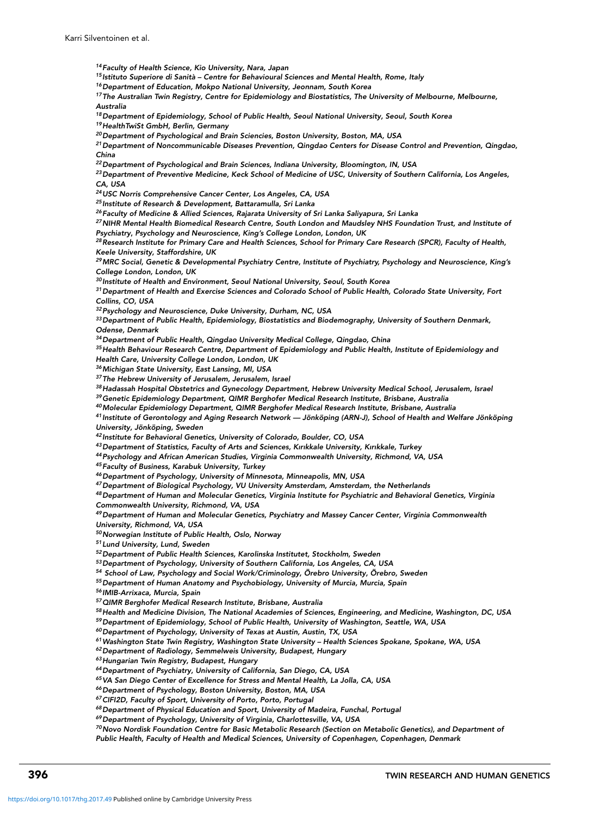*14Faculty of Health Science, Kio University, Nara, Japan*

*15Istituto Superiore di Sanità – Centre for Behavioural Sciences and Mental Health, Rome, Italy*

*16Department of Education, Mokpo National University, Jeonnam, South Korea*

*17The Australian Twin Registry, Centre for Epidemiology and Biostatistics, The University of Melbourne, Melbourne, Australia*

*18Department of Epidemiology, School of Public Health, Seoul National University, Seoul, South Korea 19HealthTwiSt GmbH, Berlin, Germany*

*20Department of Psychological and Brain Sciencies, Boston University, Boston, MA, USA*

*21Department of Noncommunicable Diseases Prevention, Qingdao Centers for Disease Control and Prevention, Qingdao, China*

*22Department of Psychological and Brain Sciences, Indiana University, Bloomington, IN, USA*

*23Department of Preventive Medicine, Keck School of Medicine of USC, University of Southern California, Los Angeles, CA, USA*

*24USC Norris Comprehensive Cancer Center, Los Angeles, CA, USA*

*25Institute of Research & Development, Battaramulla, Sri Lanka*

*26Faculty of Medicine & Allied Sciences, Rajarata University of Sri Lanka Saliyapura, Sri Lanka*

*27NIHR Mental Health Biomedical Research Centre, South London and Maudsley NHS Foundation Trust, and Institute of Psychiatry***,** *Psychology and Neuroscience, King's College London, London, UK*

*28Research Institute for Primary Care and Health Sciences, School for Primary Care Research (SPCR), Faculty of Health, Keele University, Staffordshire, UK*

*29MRC Social, Genetic & Developmental Psychiatry Centre, Institute of Psychiatry, Psychology and Neuroscience, King's College London, London, UK*

*30Institute of Health and Environment, Seoul National University, Seoul, South Korea*

*31Department of Health and Exercise Sciences and Colorado School of Public Health, Colorado State University, Fort Collins, CO, USA*

*32Psychology and Neuroscience, Duke University, Durham, NC, USA*

*33Department of Public Health, Epidemiology, Biostatistics and Biodemography, University of Southern Denmark, Odense, Denmark*

*34Department of Public Health, Qingdao University Medical College, Qingdao, China*

*35Health Behaviour Research Centre, Department of Epidemiology and Public Health, Institute of Epidemiology and Health Care, University College London, London, UK*

*36Michigan State University, East Lansing, MI, USA*

*37The Hebrew University of Jerusalem, Jerusalem, Israel*

*38Hadassah Hospital Obstetrics and Gynecology Department, Hebrew University Medical School, Jerusalem, Israel 39Genetic Epidemiology Department, QIMR Berghofer Medical Research Institute, Brisbane, Australia*

*40Molecular Epidemiology Department, QIMR Berghofer Medical Research Institute, Brisbane, Australia*

*41Institute of Gerontology and Aging Research Network — Jönköping (ARN-J), School of Health and Welfare Jönköping University, Jönköping, Sweden*

*42Institute for Behavioral Genetics, University of Colorado, Boulder, CO, USA*

*43Department of Statistics, Faculty of Arts and Sciences, Kırıkkale University, Kırıkkale, Turkey*

*44Psychology and African American Studies, Virginia Commonwealth University, Richmond, VA, USA*

*45Faculty of Business, Karabuk University, Turkey*

*46Department of Psychology, University of Minnesota, Minneapolis, MN, USA*

*47Department of Biological Psychology, VU University Amsterdam, Amsterdam, the Netherlands*

*48Department of Human and Molecular Genetics, Virginia Institute for Psychiatric and Behavioral Genetics, Virginia Commonwealth University, Richmond, VA, USA*

*49Department of Human and Molecular Genetics, Psychiatry and Massey Cancer Center, Virginia Commonwealth University, Richmond, VA, USA*

*50Norwegian Institute of Public Health, Oslo, Norway*

*51Lund University, Lund, Sweden*

*52Department of Public Health Sciences, Karolinska Institutet, Stockholm, Sweden*

*53Department of Psychology, University of Southern California, Los Angeles, CA, USA*

*<sup>54</sup> School of Law, Psychology and Social Work/Criminology, Örebro University, Örebro, Sweden*

*55Department of Human Anatomy and Psychobiology, University of Murcia, Murcia, Spain*

*56IMIB-Arrixaca, Murcia, Spain*

*57QIMR Berghofer Medical Research Institute, Brisbane, Australia*

*58Health and Medicine Division, The National Academies of Sciences, Engineering, and Medicine, Washington, DC, USA*

*59Department of Epidemiology, School of Public Health, University of Washington, Seattle, WA, USA*

*60Department of Psychology, University of Texas at Austin, Austin, TX, USA*

*61Washington State Twin Registry, Washington State University – Health Sciences Spokane, Spokane, WA, USA*

*62Department of Radiology, Semmelweis University, Budapest, Hungary*

*63Hungarian Twin Registry, Budapest, Hungary*

*64Department of Psychiatry, University of California, San Diego, CA, USA*

*65VA San Diego Center of Excellence for Stress and Mental Health, La Jolla, CA, USA*

*66Department of Psychology, Boston University, Boston, MA, USA*

*67CIFI2D, Faculty of Sport, University of Porto, Porto, Portugal*

*68Department of Physical Education and Sport, University of Madeira, Funchal, Portugal*

*69Department of Psychology, University of Virginia, Charlottesville, VA, USA*

*70Novo Nordisk Foundation Centre for Basic Metabolic Research (Section on Metabolic Genetics), and Department of*

*Public Health, Faculty of Health and Medical Sciences, University of Copenhagen, Copenhagen, Denmark*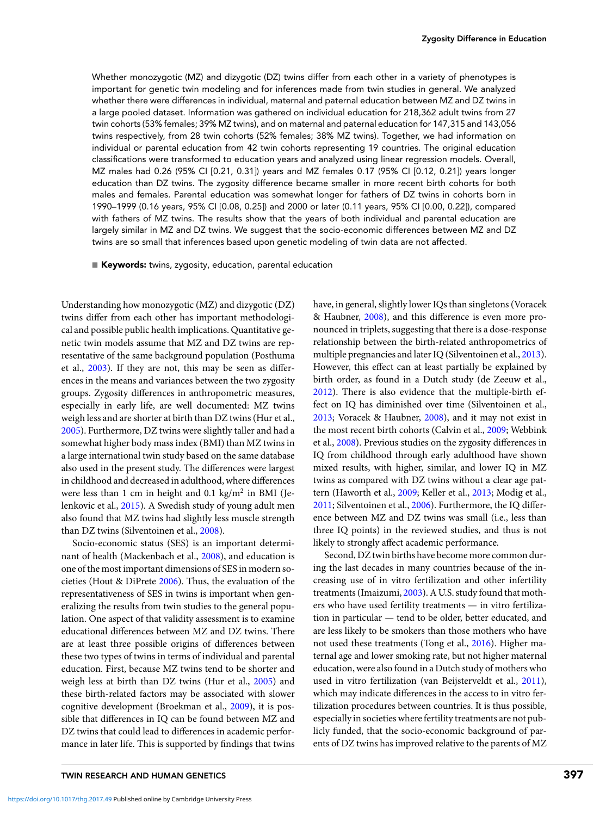Whether monozygotic (MZ) and dizygotic (DZ) twins differ from each other in a variety of phenotypes is important for genetic twin modeling and for inferences made from twin studies in general. We analyzed whether there were differences in individual, maternal and paternal education between MZ and DZ twins in a large pooled dataset. Information was gathered on individual education for 218,362 adult twins from 27 twin cohorts (53% females; 39% MZ twins), and on maternal and paternal education for 147,315 and 143,056 twins respectively, from 28 twin cohorts (52% females; 38% MZ twins). Together, we had information on individual or parental education from 42 twin cohorts representing 19 countries. The original education classifications were transformed to education years and analyzed using linear regression models. Overall, MZ males had 0.26 (95% CI [0.21, 0.31]) years and MZ females 0.17 (95% CI [0.12, 0.21]) years longer education than DZ twins. The zygosity difference became smaller in more recent birth cohorts for both males and females. Parental education was somewhat longer for fathers of DZ twins in cohorts born in 1990–1999 (0.16 years, 95% CI [0.08, 0.25]) and 2000 or later (0.11 years, 95% CI [0.00, 0.22]), compared with fathers of MZ twins. The results show that the years of both individual and parental education are largely similar in MZ and DZ twins. We suggest that the socio-economic differences between MZ and DZ twins are so small that inferences based upon genetic modeling of twin data are not affected.

■ **Keywords:** twins, zygosity, education, parental education

Understanding how monozygotic (MZ) and dizygotic (DZ) twins differ from each other has important methodological and possible public health implications. Quantitative genetic twin models assume that MZ and DZ twins are representative of the same background population (Posthuma et al., [2003\)](#page-9-0). If they are not, this may be seen as differences in the means and variances between the two zygosity groups. Zygosity differences in anthropometric measures, especially in early life, are well documented: MZ twins weigh less and are shorter at birth than DZ twins (Hur et al., [2005\)](#page-9-0). Furthermore, DZ twins were slightly taller and had a somewhat higher body mass index (BMI) than MZ twins in a large international twin study based on the same database also used in the present study. The differences were largest in childhood and decreased in adulthood, where differences were less than 1 cm in height and 0.1 kg/m<sup>2</sup> in BMI (Jelenkovic et al., [2015\)](#page-9-0). A Swedish study of young adult men also found that MZ twins had slightly less muscle strength than DZ twins (Silventoinen et al., [2008\)](#page-10-0).

Socio-economic status (SES) is an important determinant of health (Mackenbach et al., [2008\)](#page-9-0), and education is one of the most important dimensions of SES in modern societies (Hout & DiPrete [2006\)](#page-9-0). Thus, the evaluation of the representativeness of SES in twins is important when generalizing the results from twin studies to the general population. One aspect of that validity assessment is to examine educational differences between MZ and DZ twins. There are at least three possible origins of differences between these two types of twins in terms of individual and parental education. First, because MZ twins tend to be shorter and weigh less at birth than DZ twins (Hur et al., [2005\)](#page-9-0) and these birth-related factors may be associated with slower cognitive development (Broekman et al., [2009\)](#page-9-0), it is possible that differences in IQ can be found between MZ and DZ twins that could lead to differences in academic performance in later life. This is supported by findings that twins have, in general, slightly lower IQs than singletons (Voracek & Haubner, [2008\)](#page-10-0), and this difference is even more pronounced in triplets, suggesting that there is a dose-response relationship between the birth-related anthropometrics of multiple pregnancies and later IQ (Silventoinen et al., [2013\)](#page-10-0). However, this effect can at least partially be explained by birth order, as found in a Dutch study (de Zeeuw et al., [2012\)](#page-9-0). There is also evidence that the multiple-birth effect on IQ has diminished over time (Silventoinen et al., [2013;](#page-10-0) Voracek & Haubner, [2008\)](#page-10-0), and it may not exist in the most recent birth cohorts (Calvin et al., [2009;](#page-9-0) Webbink et al., [2008\)](#page-10-0). Previous studies on the zygosity differences in IQ from childhood through early adulthood have shown mixed results, with higher, similar, and lower IQ in MZ twins as compared with DZ twins without a clear age pattern (Haworth et al., [2009;](#page-9-0) Keller et al., [2013;](#page-9-0) Modig et al., [2011;](#page-9-0) Silventoinen et al., [2006\)](#page-10-0). Furthermore, the IQ difference between MZ and DZ twins was small (i.e., less than three IQ points) in the reviewed studies, and thus is not likely to strongly affect academic performance.

Second, DZ twin births have become more common during the last decades in many countries because of the increasing use of in vitro fertilization and other infertility treatments (Imaizumi, [2003\)](#page-9-0). A U.S. study found that mothers who have used fertility treatments — in vitro fertilization in particular — tend to be older, better educated, and are less likely to be smokers than those mothers who have not used these treatments (Tong et al., [2016\)](#page-10-0). Higher maternal age and lower smoking rate, but not higher maternal education, were also found in a Dutch study of mothers who used in vitro fertilization (van Beijsterveldt et al., [2011\)](#page-10-0), which may indicate differences in the access to in vitro fertilization procedures between countries. It is thus possible, especially in societies where fertility treatments are not publicly funded, that the socio-economic background of parents of DZ twins has improved relative to the parents of MZ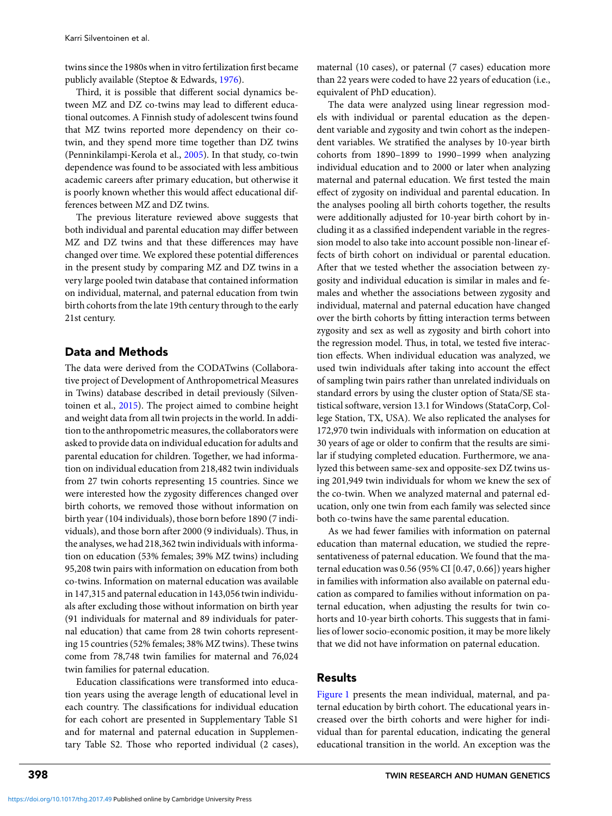twins since the 1980s when in vitro fertilization first became publicly available (Steptoe & Edwards, [1976\)](#page-10-0).

Third, it is possible that different social dynamics between MZ and DZ co-twins may lead to different educational outcomes. A Finnish study of adolescent twins found that MZ twins reported more dependency on their cotwin, and they spend more time together than DZ twins (Penninkilampi-Kerola et al., [2005\)](#page-9-0). In that study, co-twin dependence was found to be associated with less ambitious academic careers after primary education, but otherwise it is poorly known whether this would affect educational differences between MZ and DZ twins.

The previous literature reviewed above suggests that both individual and parental education may differ between MZ and DZ twins and that these differences may have changed over time. We explored these potential differences in the present study by comparing MZ and DZ twins in a very large pooled twin database that contained information on individual, maternal, and paternal education from twin birth cohorts from the late 19th century through to the early 21st century.

# **Data and Methods**

The data were derived from the CODATwins (Collaborative project of Development of Anthropometrical Measures in Twins) database described in detail previously (Silventoinen et al., [2015\)](#page-9-0). The project aimed to combine height and weight data from all twin projects in the world. In addition to the anthropometric measures, the collaborators were asked to provide data on individual education for adults and parental education for children. Together, we had information on individual education from 218,482 twin individuals from 27 twin cohorts representing 15 countries. Since we were interested how the zygosity differences changed over birth cohorts, we removed those without information on birth year (104 individuals), those born before 1890 (7 individuals), and those born after 2000 (9 individuals). Thus, in the analyses, we had 218,362 twin individuals with information on education (53% females; 39% MZ twins) including 95,208 twin pairs with information on education from both co-twins. Information on maternal education was available in 147,315 and paternal education in 143,056 twin individuals after excluding those without information on birth year (91 individuals for maternal and 89 individuals for paternal education) that came from 28 twin cohorts representing 15 countries (52% females; 38% MZ twins). These twins come from 78,748 twin families for maternal and 76,024 twin families for paternal education.

Education classifications were transformed into education years using the average length of educational level in each country. The classifications for individual education for each cohort are presented in Supplementary Table S1 and for maternal and paternal education in Supplementary Table S2. Those who reported individual (2 cases), maternal (10 cases), or paternal (7 cases) education more than 22 years were coded to have 22 years of education (i.e., equivalent of PhD education).

The data were analyzed using linear regression models with individual or parental education as the dependent variable and zygosity and twin cohort as the independent variables. We stratified the analyses by 10-year birth cohorts from 1890–1899 to 1990–1999 when analyzing individual education and to 2000 or later when analyzing maternal and paternal education. We first tested the main effect of zygosity on individual and parental education. In the analyses pooling all birth cohorts together, the results were additionally adjusted for 10-year birth cohort by including it as a classified independent variable in the regression model to also take into account possible non-linear effects of birth cohort on individual or parental education. After that we tested whether the association between zygosity and individual education is similar in males and females and whether the associations between zygosity and individual, maternal and paternal education have changed over the birth cohorts by fitting interaction terms between zygosity and sex as well as zygosity and birth cohort into the regression model. Thus, in total, we tested five interaction effects. When individual education was analyzed, we used twin individuals after taking into account the effect of sampling twin pairs rather than unrelated individuals on standard errors by using the cluster option of Stata/SE statistical software, version 13.1 for Windows (StataCorp, College Station, TX, USA). We also replicated the analyses for 172,970 twin individuals with information on education at 30 years of age or older to confirm that the results are similar if studying completed education. Furthermore, we analyzed this between same-sex and opposite-sex DZ twins using 201,949 twin individuals for whom we knew the sex of the co-twin. When we analyzed maternal and paternal education, only one twin from each family was selected since both co-twins have the same parental education.

As we had fewer families with information on paternal education than maternal education, we studied the representativeness of paternal education. We found that the maternal education was 0.56 (95% CI [0.47, 0.66]) years higher in families with information also available on paternal education as compared to families without information on paternal education, when adjusting the results for twin cohorts and 10-year birth cohorts. This suggests that in families of lower socio-economic position, it may be more likely that we did not have information on paternal education.

## **Results**

[Figure 1](#page-4-0) presents the mean individual, maternal, and paternal education by birth cohort. The educational years increased over the birth cohorts and were higher for individual than for parental education, indicating the general educational transition in the world. An exception was the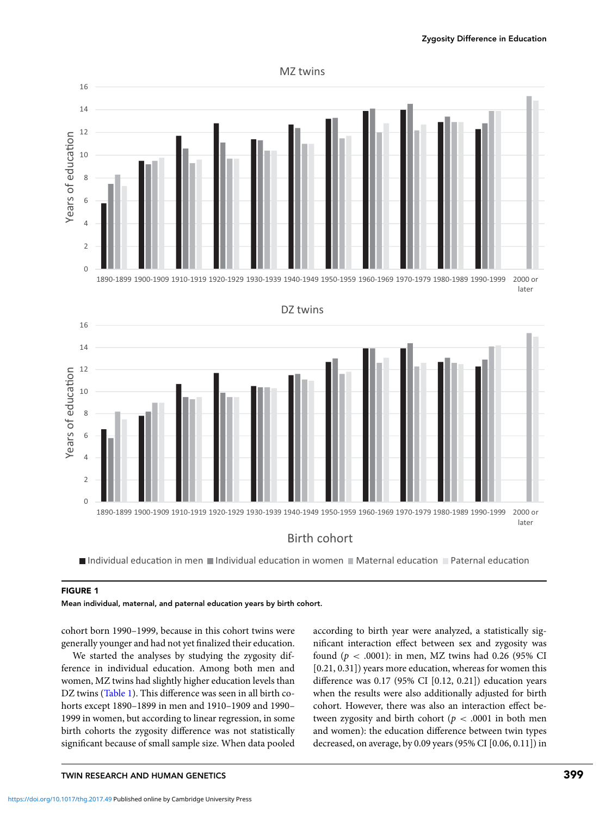<span id="page-4-0"></span>



Individual education in men Individual education in women I Maternal education <sup>-</sup> Paternal education

## **FIGURE 1**

**Mean individual, maternal, and paternal education years by birth cohort.**

cohort born 1990–1999, because in this cohort twins were generally younger and had not yet finalized their education.

We started the analyses by studying the zygosity difference in individual education. Among both men and women, MZ twins had slightly higher education levels than DZ twins [\(Table 1\)](#page-5-0). This difference was seen in all birth cohorts except 1890–1899 in men and 1910–1909 and 1990– 1999 in women, but according to linear regression, in some birth cohorts the zygosity difference was not statistically significant because of small sample size. When data pooled according to birth year were analyzed, a statistically significant interaction effect between sex and zygosity was found (*p* < .0001): in men, MZ twins had 0.26 (95% CI [0.21, 0.31]) years more education, whereas for women this difference was 0.17 (95% CI [0.12, 0.21]) education years when the results were also additionally adjusted for birth cohort. However, there was also an interaction effect between zygosity and birth cohort ( $p < .0001$  in both men and women): the education difference between twin types decreased, on average, by 0.09 years (95% CI [0.06, 0.11]) in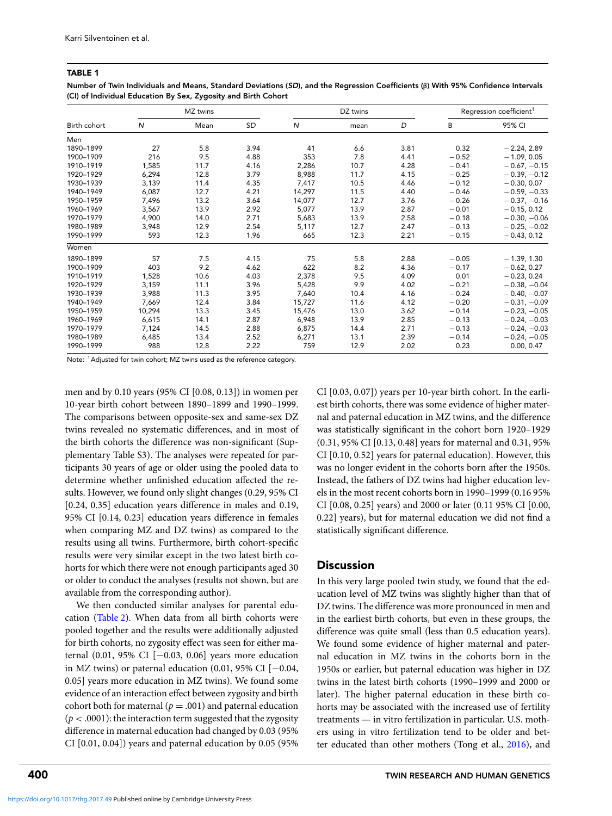#### <span id="page-5-0"></span>**TABLE 1**

**Number of Twin Individuals and Means, Standard Deviations (***SD***), and the Regression Coefficients (β) With 95% Confidence Intervals (CI) of Individual Education By Sex, Zygosity and Birth Cohort**

| Birth cohort | MZ twins |      |      | DZ twins |      |      | Regression coefficient <sup>1</sup> |                |
|--------------|----------|------|------|----------|------|------|-------------------------------------|----------------|
|              | N        | Mean | SD   | N        | mean | D    | B                                   | 95% CI         |
| Men          |          |      |      |          |      |      |                                     |                |
| 1890-1899    | 27       | 5.8  | 3.94 | 41       | 6.6  | 3.81 | 0.32                                | $-2.24, 2.89$  |
| 1900-1909    | 216      | 9.5  | 4.88 | 353      | 7.8  | 4.41 | $-0.52$                             | $-1.09, 0.05$  |
| 1910-1919    | 1,585    | 11.7 | 4.16 | 2,286    | 10.7 | 4.28 | $-0.41$                             | $-0.67, -0.15$ |
| 1920-1929    | 6,294    | 12.8 | 3.79 | 8,988    | 11.7 | 4.15 | $-0.25$                             | $-0.39, -0.12$ |
| 1930-1939    | 3,139    | 11.4 | 4.35 | 7,417    | 10.5 | 4.46 | $-0.12$                             | $-0.30, 0.07$  |
| 1940-1949    | 6,087    | 12.7 | 4.21 | 14,297   | 11.5 | 4.40 | $-0.46$                             | $-0.59, -0.33$ |
| 1950-1959    | 7,496    | 13.2 | 3.64 | 14,077   | 12.7 | 3.76 | $-0.26$                             | $-0.37, -0.16$ |
| 1960-1969    | 3,567    | 13.9 | 2.92 | 5,077    | 13.9 | 2.87 | $-0.01$                             | $-0.15, 0.12$  |
| 1970-1979    | 4,900    | 14.0 | 2.71 | 5,683    | 13.9 | 2.58 | $-0.18$                             | $-0.30, -0.06$ |
| 1980-1989    | 3,948    | 12.9 | 2.54 | 5,117    | 12.7 | 2.47 | $-0.13$                             | $-0.25, -0.02$ |
| 1990-1999    | 593      | 12.3 | 1.96 | 665      | 12.3 | 2.21 | $-0.15$                             | $-0.43, 0.12$  |
| Women        |          |      |      |          |      |      |                                     |                |
| 1890-1899    | 57       | 7.5  | 4.15 | 75       | 5.8  | 2.88 | $-0.05$                             | $-1.39, 1.30$  |
| 1900-1909    | 403      | 9.2  | 4.62 | 622      | 8.2  | 4.36 | $-0.17$                             | $-0.62, 0.27$  |
| 1910-1919    | 1,528    | 10.6 | 4.03 | 2,378    | 9.5  | 4.09 | 0.01                                | $-0.23, 0.24$  |
| 1920-1929    | 3,159    | 11.1 | 3.96 | 5,428    | 9.9  | 4.02 | $-0.21$                             | $-0.38, -0.04$ |
| 1930-1939    | 3,988    | 11.3 | 3.95 | 7,640    | 10.4 | 4.16 | $-0.24$                             | $-0.40, -0.07$ |
| 1940-1949    | 7,669    | 12.4 | 3.84 | 15,727   | 11.6 | 4.12 | $-0.20$                             | $-0.31, -0.09$ |
| 1950-1959    | 10,294   | 13.3 | 3.45 | 15,476   | 13.0 | 3.62 | $-0.14$                             | $-0.23, -0.05$ |
| 1960-1969    | 6,615    | 14.1 | 2.87 | 6,948    | 13.9 | 2.85 | $-0.13$                             | $-0.24, -0.03$ |
| 1970-1979    | 7,124    | 14.5 | 2.88 | 6,875    | 14.4 | 2.71 | $-0.13$                             | $-0.24, -0.03$ |
| 1980-1989    | 6,485    | 13.4 | 2.52 | 6,271    | 13.1 | 2.39 | $-0.14$                             | $-0.24, -0.05$ |
| 1990-1999    | 988      | 12.8 | 2.22 | 759      | 12.9 | 2.02 | 0.23                                | 0.00, 0.47     |

Note: 1Adjusted for twin cohort; MZ twins used as the reference category.

men and by 0.10 years (95% CI [0.08, 0.13]) in women per 10-year birth cohort between 1890–1899 and 1990–1999. The comparisons between opposite-sex and same-sex DZ twins revealed no systematic differences, and in most of the birth cohorts the difference was non-significant (Supplementary Table S3). The analyses were repeated for participants 30 years of age or older using the pooled data to determine whether unfinished education affected the results. However, we found only slight changes (0.29, 95% CI [0.24, 0.35] education years difference in males and 0.19, 95% CI [0.14, 0.23] education years difference in females when comparing MZ and DZ twins) as compared to the results using all twins. Furthermore, birth cohort-specific results were very similar except in the two latest birth cohorts for which there were not enough participants aged 30 or older to conduct the analyses (results not shown, but are available from the corresponding author).

We then conducted similar analyses for parental education [\(Table 2\)](#page-6-0). When data from all birth cohorts were pooled together and the results were additionally adjusted for birth cohorts, no zygosity effect was seen for either maternal (0.01, 95% CI [−0.03, 0.06] years more education in MZ twins) or paternal education  $(0.01, 95\% \text{ CI } [-0.04,$ 0.05] years more education in MZ twins). We found some evidence of an interaction effect between zygosity and birth cohort both for maternal ( $p = .001$ ) and paternal education  $(p < .0001)$ : the interaction term suggested that the zygosity difference in maternal education had changed by 0.03 (95% CI [0.01, 0.04]) years and paternal education by 0.05 (95% CI [0.03, 0.07]) years per 10-year birth cohort. In the earliest birth cohorts, there was some evidence of higher maternal and paternal education in MZ twins, and the difference was statistically significant in the cohort born 1920–1929 (0.31, 95% CI [0.13, 0.48] years for maternal and 0.31, 95% CI [0.10, 0.52] years for paternal education). However, this was no longer evident in the cohorts born after the 1950s. Instead, the fathers of DZ twins had higher education levels in the most recent cohorts born in 1990–1999 (0.16 95% CI [0.08, 0.25] years) and 2000 or later (0.11 95% CI [0.00, 0.22] years), but for maternal education we did not find a statistically significant difference.

## **Discussion**

In this very large pooled twin study, we found that the education level of MZ twins was slightly higher than that of DZ twins. The difference was more pronounced in men and in the earliest birth cohorts, but even in these groups, the difference was quite small (less than 0.5 education years). We found some evidence of higher maternal and paternal education in MZ twins in the cohorts born in the 1950s or earlier, but paternal education was higher in DZ twins in the latest birth cohorts (1990–1999 and 2000 or later). The higher paternal education in these birth cohorts may be associated with the increased use of fertility treatments — in vitro fertilization in particular. U.S. mothers using in vitro fertilization tend to be older and better educated than other mothers (Tong et al., [2016\)](#page-10-0), and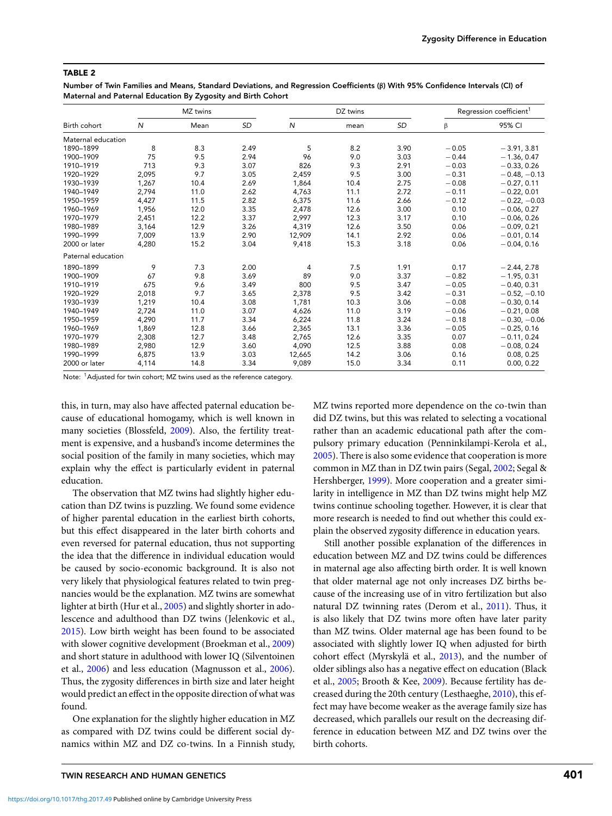#### <span id="page-6-0"></span>**TABLE 2**

**Number of Twin Families and Means, Standard Deviations, and Regression Coefficients (β) With 95% Confidence Intervals (CI) of Maternal and Paternal Education By Zygosity and Birth Cohort**

| Birth cohort       | MZ twins |      |           | DZ twins |      |      | Regression coefficient <sup>1</sup> |                |
|--------------------|----------|------|-----------|----------|------|------|-------------------------------------|----------------|
|                    | N        | Mean | <b>SD</b> | N        | mean | SD   | β                                   | 95% CI         |
| Maternal education |          |      |           |          |      |      |                                     |                |
| 1890-1899          | 8        | 8.3  | 2.49      | 5        | 8.2  | 3.90 | $-0.05$                             | $-3.91, 3.81$  |
| 1900-1909          | 75       | 9.5  | 2.94      | 96       | 9.0  | 3.03 | $-0.44$                             | $-1.36, 0.47$  |
| 1910-1919          | 713      | 9.3  | 3.07      | 826      | 9.3  | 2.91 | $-0.03$                             | $-0.33, 0.26$  |
| 1920-1929          | 2,095    | 9.7  | 3.05      | 2,459    | 9.5  | 3.00 | $-0.31$                             | $-0.48, -0.13$ |
| 1930-1939          | 1,267    | 10.4 | 2.69      | 1,864    | 10.4 | 2.75 | $-0.08$                             | $-0.27, 0.11$  |
| 1940-1949          | 2,794    | 11.0 | 2.62      | 4,763    | 11.1 | 2.72 | $-0.11$                             | $-0.22, 0.01$  |
| 1950-1959          | 4,427    | 11.5 | 2.82      | 6,375    | 11.6 | 2.66 | $-0.12$                             | $-0.22, -0.03$ |
| 1960-1969          | 1,956    | 12.0 | 3.35      | 2,478    | 12.6 | 3.00 | 0.10                                | $-0.06, 0.27$  |
| 1970-1979          | 2,451    | 12.2 | 3.37      | 2,997    | 12.3 | 3.17 | 0.10                                | $-0.06, 0.26$  |
| 1980-1989          | 3,164    | 12.9 | 3.26      | 4,319    | 12.6 | 3.50 | 0.06                                | $-0.09, 0.21$  |
| 1990-1999          | 7,009    | 13.9 | 2.90      | 12,909   | 14.1 | 2.92 | 0.06                                | $-0.01, 0.14$  |
| 2000 or later      | 4,280    | 15.2 | 3.04      | 9,418    | 15.3 | 3.18 | 0.06                                | $-0.04, 0.16$  |
| Paternal education |          |      |           |          |      |      |                                     |                |
| 1890-1899          | 9        | 7.3  | 2.00      | 4        | 7.5  | 1.91 | 0.17                                | $-2.44, 2.78$  |
| 1900-1909          | 67       | 9.8  | 3.69      | 89       | 9.0  | 3.37 | $-0.82$                             | $-1.95, 0.31$  |
| 1910-1919          | 675      | 9.6  | 3.49      | 800      | 9.5  | 3.47 | $-0.05$                             | $-0.40, 0.31$  |
| 1920-1929          | 2,018    | 9.7  | 3.65      | 2,378    | 9.5  | 3.42 | $-0.31$                             | $-0.52, -0.10$ |
| 1930-1939          | 1,219    | 10.4 | 3.08      | 1,781    | 10.3 | 3.06 | $-0.08$                             | $-0.30, 0.14$  |
| 1940-1949          | 2,724    | 11.0 | 3.07      | 4,626    | 11.0 | 3.19 | $-0.06$                             | $-0.21, 0.08$  |
| 1950-1959          | 4,290    | 11.7 | 3.34      | 6,224    | 11.8 | 3.24 | $-0.18$                             | $-0.30, -0.06$ |
| 1960-1969          | 1,869    | 12.8 | 3.66      | 2,365    | 13.1 | 3.36 | $-0.05$                             | $-0.25, 0.16$  |
| 1970-1979          | 2,308    | 12.7 | 3.48      | 2,765    | 12.6 | 3.35 | 0.07                                | $-0.11, 0.24$  |
| 1980-1989          | 2,980    | 12.9 | 3.60      | 4,090    | 12.5 | 3.88 | 0.08                                | $-0.08, 0.24$  |
| 1990-1999          | 6,875    | 13.9 | 3.03      | 12,665   | 14.2 | 3.06 | 0.16                                | 0.08, 0.25     |
| 2000 or later      | 4,114    | 14.8 | 3.34      | 9,089    | 15.0 | 3.34 | 0.11                                | 0.00, 0.22     |

Note: 1Adjusted for twin cohort; MZ twins used as the reference category.

this, in turn, may also have affected paternal education because of educational homogamy, which is well known in many societies (Blossfeld, [2009\)](#page-9-0). Also, the fertility treatment is expensive, and a husband's income determines the social position of the family in many societies, which may explain why the effect is particularly evident in paternal education.

The observation that MZ twins had slightly higher education than DZ twins is puzzling. We found some evidence of higher parental education in the earliest birth cohorts, but this effect disappeared in the later birth cohorts and even reversed for paternal education, thus not supporting the idea that the difference in individual education would be caused by socio-economic background. It is also not very likely that physiological features related to twin pregnancies would be the explanation. MZ twins are somewhat lighter at birth (Hur et al., [2005\)](#page-9-0) and slightly shorter in adolescence and adulthood than DZ twins (Jelenkovic et al., [2015\)](#page-9-0). Low birth weight has been found to be associated with slower cognitive development (Broekman et al., [2009\)](#page-9-0) and short stature in adulthood with lower IQ (Silventoinen et al., [2006\)](#page-10-0) and less education (Magnusson et al., [2006\)](#page-9-0). Thus, the zygosity differences in birth size and later height would predict an effect in the opposite direction of what was found.

One explanation for the slightly higher education in MZ as compared with DZ twins could be different social dynamics within MZ and DZ co-twins. In a Finnish study,

MZ twins reported more dependence on the co-twin than did DZ twins, but this was related to selecting a vocational rather than an academic educational path after the compulsory primary education (Penninkilampi-Kerola et al., [2005\)](#page-9-0). There is also some evidence that cooperation is more common in MZ than in DZ twin pairs (Segal, [2002;](#page-9-0) Segal & Hershberger, [1999\)](#page-9-0). More cooperation and a greater similarity in intelligence in MZ than DZ twins might help MZ twins continue schooling together. However, it is clear that more research is needed to find out whether this could explain the observed zygosity difference in education years.

Still another possible explanation of the differences in education between MZ and DZ twins could be differences in maternal age also affecting birth order. It is well known that older maternal age not only increases DZ births because of the increasing use of in vitro fertilization but also natural DZ twinning rates (Derom et al., [2011\)](#page-9-0). Thus, it is also likely that DZ twins more often have later parity than MZ twins. Older maternal age has been found to be associated with slightly lower IQ when adjusted for birth cohort effect (Myrskylä et al., [2013\)](#page-9-0), and the number of older siblings also has a negative effect on education (Black et al., [2005;](#page-8-0) Brooth & Kee, [2009\)](#page-9-0). Because fertility has decreased during the 20th century (Lesthaeghe, [2010\)](#page-9-0), this effect may have become weaker as the average family size has decreased, which parallels our result on the decreasing difference in education between MZ and DZ twins over the birth cohorts.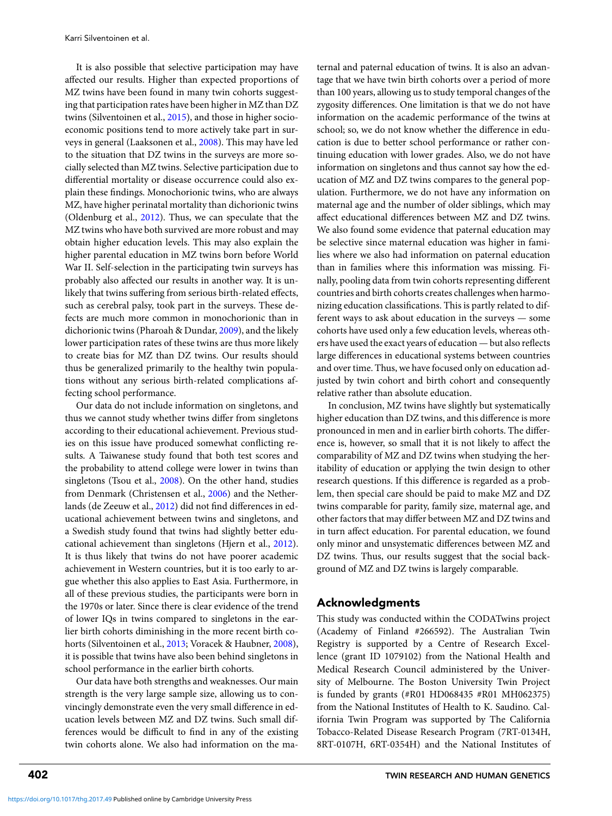It is also possible that selective participation may have affected our results. Higher than expected proportions of MZ twins have been found in many twin cohorts suggesting that participation rates have been higher in MZ than DZ twins (Silventoinen et al., [2015\)](#page-9-0), and those in higher socioeconomic positions tend to more actively take part in surveys in general (Laaksonen et al., [2008\)](#page-9-0). This may have led to the situation that DZ twins in the surveys are more socially selected than MZ twins. Selective participation due to differential mortality or disease occurrence could also explain these findings. Monochorionic twins, who are always MZ, have higher perinatal mortality than dichorionic twins (Oldenburg et al., [2012\)](#page-9-0). Thus, we can speculate that the MZ twins who have both survived are more robust and may obtain higher education levels. This may also explain the higher parental education in MZ twins born before World War II. Self-selection in the participating twin surveys has probably also affected our results in another way. It is unlikely that twins suffering from serious birth-related effects, such as cerebral palsy, took part in the surveys. These defects are much more common in monochorionic than in dichorionic twins (Pharoah & Dundar, [2009\)](#page-9-0), and the likely lower participation rates of these twins are thus more likely to create bias for MZ than DZ twins. Our results should thus be generalized primarily to the healthy twin populations without any serious birth-related complications affecting school performance.

Our data do not include information on singletons, and thus we cannot study whether twins differ from singletons according to their educational achievement. Previous studies on this issue have produced somewhat conflicting results. A Taiwanese study found that both test scores and the probability to attend college were lower in twins than singletons (Tsou et al., [2008\)](#page-10-0). On the other hand, studies from Denmark (Christensen et al., [2006\)](#page-9-0) and the Netherlands (de Zeeuw et al., [2012\)](#page-9-0) did not find differences in educational achievement between twins and singletons, and a Swedish study found that twins had slightly better educational achievement than singletons (Hjern et al., [2012\)](#page-9-0). It is thus likely that twins do not have poorer academic achievement in Western countries, but it is too early to argue whether this also applies to East Asia. Furthermore, in all of these previous studies, the participants were born in the 1970s or later. Since there is clear evidence of the trend of lower IQs in twins compared to singletons in the earlier birth cohorts diminishing in the more recent birth cohorts (Silventoinen et al., [2013;](#page-10-0) Voracek & Haubner, [2008\)](#page-10-0), it is possible that twins have also been behind singletons in school performance in the earlier birth cohorts.

Our data have both strengths and weaknesses. Our main strength is the very large sample size, allowing us to convincingly demonstrate even the very small difference in education levels between MZ and DZ twins. Such small differences would be difficult to find in any of the existing twin cohorts alone. We also had information on the maternal and paternal education of twins. It is also an advantage that we have twin birth cohorts over a period of more than 100 years, allowing us to study temporal changes of the zygosity differences. One limitation is that we do not have information on the academic performance of the twins at school; so, we do not know whether the difference in education is due to better school performance or rather continuing education with lower grades. Also, we do not have information on singletons and thus cannot say how the education of MZ and DZ twins compares to the general population. Furthermore, we do not have any information on maternal age and the number of older siblings, which may affect educational differences between MZ and DZ twins. We also found some evidence that paternal education may be selective since maternal education was higher in families where we also had information on paternal education than in families where this information was missing. Finally, pooling data from twin cohorts representing different countries and birth cohorts creates challenges when harmonizing education classifications. This is partly related to different ways to ask about education in the surveys — some cohorts have used only a few education levels, whereas others have used the exact years of education — but also reflects large differences in educational systems between countries and over time. Thus, we have focused only on education adjusted by twin cohort and birth cohort and consequently relative rather than absolute education.

In conclusion, MZ twins have slightly but systematically higher education than DZ twins, and this difference is more pronounced in men and in earlier birth cohorts. The difference is, however, so small that it is not likely to affect the comparability of MZ and DZ twins when studying the heritability of education or applying the twin design to other research questions. If this difference is regarded as a problem, then special care should be paid to make MZ and DZ twins comparable for parity, family size, maternal age, and other factors that may differ between MZ and DZ twins and in turn affect education. For parental education, we found only minor and unsystematic differences between MZ and DZ twins. Thus, our results suggest that the social background of MZ and DZ twins is largely comparable.

## **Acknowledgments**

This study was conducted within the CODATwins project (Academy of Finland #266592). The Australian Twin Registry is supported by a Centre of Research Excellence (grant ID 1079102) from the National Health and Medical Research Council administered by the University of Melbourne. The Boston University Twin Project is funded by grants (#R01 HD068435 #R01 MH062375) from the National Institutes of Health to K. Saudino. California Twin Program was supported by The California Tobacco-Related Disease Research Program (7RT-0134H, 8RT-0107H, 6RT-0354H) and the National Institutes of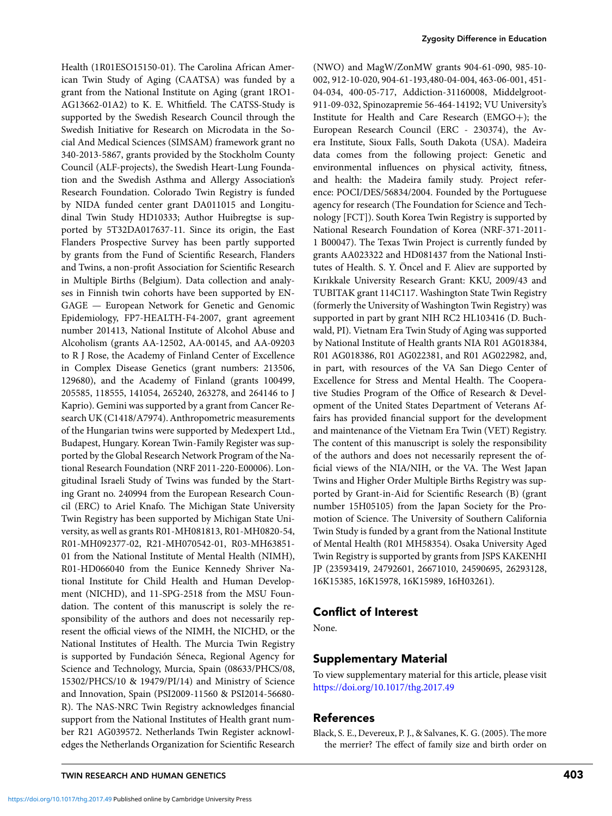<span id="page-8-0"></span>Health (1R01ESO15150-01). The Carolina African American Twin Study of Aging (CAATSA) was funded by a grant from the National Institute on Aging (grant 1RO1- AG13662-01A2) to K. E. Whitfield. The CATSS-Study is supported by the Swedish Research Council through the Swedish Initiative for Research on Microdata in the Social And Medical Sciences (SIMSAM) framework grant no 340-2013-5867, grants provided by the Stockholm County Council (ALF-projects), the Swedish Heart-Lung Foundation and the Swedish Asthma and Allergy Association's Research Foundation. Colorado Twin Registry is funded by NIDA funded center grant DA011015 and Longitudinal Twin Study HD10333; Author Huibregtse is supported by 5T32DA017637-11. Since its origin, the East Flanders Prospective Survey has been partly supported by grants from the Fund of Scientific Research, Flanders and Twins, a non-profit Association for Scientific Research in Multiple Births (Belgium). Data collection and analyses in Finnish twin cohorts have been supported by EN-GAGE — European Network for Genetic and Genomic Epidemiology, FP7-HEALTH-F4-2007, grant agreement number 201413, National Institute of Alcohol Abuse and Alcoholism (grants AA-12502, AA-00145, and AA-09203 to R J Rose, the Academy of Finland Center of Excellence in Complex Disease Genetics (grant numbers: 213506, 129680), and the Academy of Finland (grants 100499, 205585, 118555, 141054, 265240, 263278, and 264146 to J Kaprio). Gemini was supported by a grant from Cancer Research UK (C1418/A7974). Anthropometric measurements of the Hungarian twins were supported by Medexpert Ltd., Budapest, Hungary. Korean Twin-Family Register was supported by the Global Research Network Program of the National Research Foundation (NRF 2011-220-E00006). Longitudinal Israeli Study of Twins was funded by the Starting Grant no. 240994 from the European Research Council (ERC) to Ariel Knafo. The Michigan State University Twin Registry has been supported by Michigan State University, as well as grants R01-MH081813, R01-MH0820-54, R01-MH092377-02, R21-MH070542-01, R03-MH63851- 01 from the National Institute of Mental Health (NIMH), R01-HD066040 from the Eunice Kennedy Shriver National Institute for Child Health and Human Development (NICHD), and 11-SPG-2518 from the MSU Foundation. The content of this manuscript is solely the responsibility of the authors and does not necessarily represent the official views of the NIMH, the NICHD, or the National Institutes of Health. The Murcia Twin Registry is supported by Fundación Séneca, Regional Agency for Science and Technology, Murcia, Spain (08633/PHCS/08, 15302/PHCS/10 & 19479/PI/14) and Ministry of Science and Innovation, Spain (PSI2009-11560 & PSI2014-56680- R). The NAS-NRC Twin Registry acknowledges financial support from the National Institutes of Health grant number R21 AG039572. Netherlands Twin Register acknowledges the Netherlands Organization for Scientific Research

(NWO) and MagW/ZonMW grants 904-61-090, 985-10- 002, 912-10-020, 904-61-193,480-04-004, 463-06-001, 451- 04-034, 400-05-717, Addiction-31160008, Middelgroot-911-09-032, Spinozapremie 56-464-14192; VU University's Institute for Health and Care Research (EMGO+); the European Research Council (ERC - 230374), the Avera Institute, Sioux Falls, South Dakota (USA). Madeira data comes from the following project: Genetic and environmental influences on physical activity, fitness, and health: the Madeira family study. Project reference: POCI/DES/56834/2004. Founded by the Portuguese agency for research (The Foundation for Science and Technology [FCT]). South Korea Twin Registry is supported by National Research Foundation of Korea (NRF-371-2011- 1 B00047). The Texas Twin Project is currently funded by grants AA023322 and HD081437 from the National Institutes of Health. S. Y. Öncel and F. Aliev are supported by Kırıkkale University Research Grant: KKU, 2009/43 and TUBITAK grant 114C117. Washington State Twin Registry (formerly the University of Washington Twin Registry) was supported in part by grant NIH RC2 HL103416 (D. Buchwald, PI). Vietnam Era Twin Study of Aging was supported by National Institute of Health grants NIA R01 AG018384, R01 AG018386, R01 AG022381, and R01 AG022982, and, in part, with resources of the VA San Diego Center of Excellence for Stress and Mental Health. The Cooperative Studies Program of the Office of Research & Development of the United States Department of Veterans Affairs has provided financial support for the development and maintenance of the Vietnam Era Twin (VET) Registry. The content of this manuscript is solely the responsibility of the authors and does not necessarily represent the official views of the NIA/NIH, or the VA. The West Japan Twins and Higher Order Multiple Births Registry was supported by Grant-in-Aid for Scientific Research (B) (grant number 15H05105) from the Japan Society for the Promotion of Science. The University of Southern California Twin Study is funded by a grant from the National Institute of Mental Health (R01 MH58354). Osaka University Aged Twin Registry is supported by grants from JSPS KAKENHI JP (23593419, 24792601, 26671010, 24590695, 26293128, 16K15385, 16K15978, 16K15989, 16H03261).

# **Conflict of Interest**

None.

# **Supplementary Material**

To view supplementary material for this article, please visit <https://doi.org/10.1017/thg.2017.49>

## **References**

Black, S. E., Devereux, P. J., & Salvanes, K. G. (2005). The more the merrier? The effect of family size and birth order on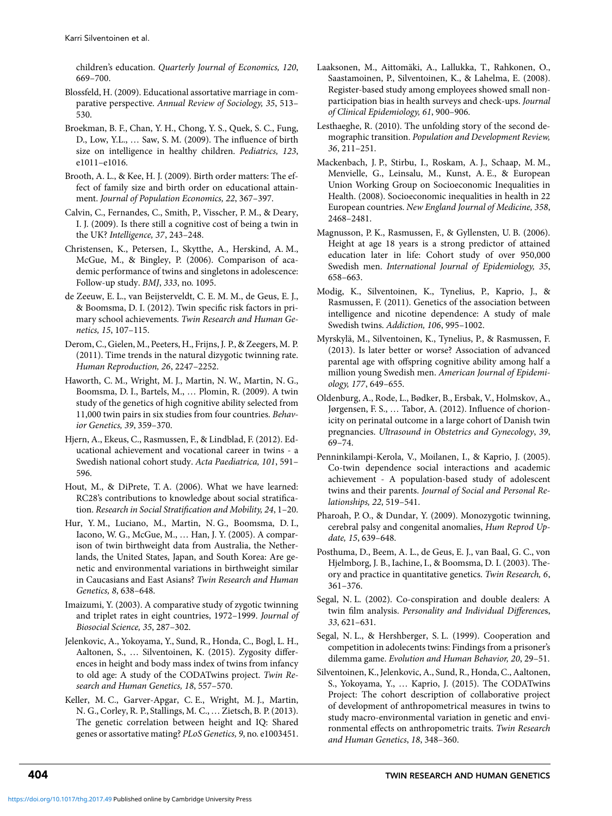<span id="page-9-0"></span>children's education. *Quarterly Journal of Economics, 120*, 669–700.

- Blossfeld, H. (2009). Educational assortative marriage in comparative perspective. *Annual Review of Sociology, 35*, 513– 530.
- Broekman, B. F., Chan, Y. H., Chong, Y. S., Quek, S. C., Fung, D., Low, Y.L., … Saw, S. M. (2009). The influence of birth size on intelligence in healthy children. *Pediatrics, 123*, e1011–e1016.
- Brooth, A. L., & Kee, H. J. (2009). Birth order matters: The effect of family size and birth order on educational attainment. *Journal of Population Economics, 22*, 367–397.
- Calvin, C., Fernandes, C., Smith, P., Visscher, P. M., & Deary, I. J. (2009). Is there still a cognitive cost of being a twin in the UK? *Intelligence, 37*, 243–248.
- Christensen, K., Petersen, I., Skytthe, A., Herskind, A. M., McGue, M., & Bingley, P. (2006). Comparison of academic performance of twins and singletons in adolescence: Follow-up study. *BMJ*, *333*, no. 1095.
- de Zeeuw, E. L., van Beijsterveldt, C. E. M. M., de Geus, E. J., & Boomsma, D. I. (2012). Twin specific risk factors in primary school achievements. *Twin Research and Human Genetics, 15*, 107–115.
- Derom, C., Gielen, M., Peeters, H., Frijns, J. P., & Zeegers, M. P. (2011). Time trends in the natural dizygotic twinning rate. *Human Reproduction, 26*, 2247–2252.
- Haworth, C. M., Wright, M. J., Martin, N. W., Martin, N. G., Boomsma, D. I., Bartels, M., … Plomin, R. (2009). A twin study of the genetics of high cognitive ability selected from 11,000 twin pairs in six studies from four countries. *Behavior Genetics, 39*, 359–370.
- Hjern, A., Ekeus, C., Rasmussen, F., & Lindblad, F. (2012). Educational achievement and vocational career in twins - a Swedish national cohort study. *Acta Paediatrica, 101*, 591– 596.
- Hout, M., & DiPrete, T. A. (2006). What we have learned: RC28's contributions to knowledge about social stratification. *Research in Social Stratification and Mobility, 24*, 1–20.
- Hur, Y. M., Luciano, M., Martin, N. G., Boomsma, D. I., Iacono, W. G., McGue, M., … Han, J. Y. (2005). A comparison of twin birthweight data from Australia, the Netherlands, the United States, Japan, and South Korea: Are genetic and environmental variations in birthweight similar in Caucasians and East Asians? *Twin Research and Human Genetics, 8*, 638–648.
- Imaizumi, Y. (2003). A comparative study of zygotic twinning and triplet rates in eight countries, 1972–1999. *Journal of Biosocial Science, 35*, 287–302.
- Jelenkovic, A., Yokoyama, Y., Sund, R., Honda, C., Bogl, L. H., Aaltonen, S., … Silventoinen, K. (2015). Zygosity differences in height and body mass index of twins from infancy to old age: A study of the CODATwins project. *Twin Research and Human Genetics, 18*, 557–570.
- Keller, M. C., Garver-Apgar, C. E., Wright, M. J., Martin, N. G., Corley, R. P., Stallings, M. C., … Zietsch, B. P. (2013). The genetic correlation between height and IQ: Shared genes or assortative mating? *PLoS Genetics, 9*, no. e1003451.
- Laaksonen, M., Aittomäki, A., Lallukka, T., Rahkonen, O., Saastamoinen, P., Silventoinen, K., & Lahelma, E. (2008). Register-based study among employees showed small nonparticipation bias in health surveys and check-ups. *Journal of Clinical Epidemiology, 61*, 900–906.
- Lesthaeghe, R. (2010). The unfolding story of the second demographic transition. *Population and Development Review, 36*, 211–251.
- Mackenbach, J. P., Stirbu, I., Roskam, A. J., Schaap, M. M., Menvielle, G., Leinsalu, M., Kunst, A. E., & European Union Working Group on Socioeconomic Inequalities in Health. (2008). Socioeconomic inequalities in health in 22 European countries. *New England Journal of Medicine, 358*, 2468–2481.
- Magnusson, P. K., Rasmussen, F., & Gyllensten, U. B. (2006). Height at age 18 years is a strong predictor of attained education later in life: Cohort study of over 950,000 Swedish men. *International Journal of Epidemiology, 35*, 658–663.
- Modig, K., Silventoinen, K., Tynelius, P., Kaprio, J., & Rasmussen, F. (2011). Genetics of the association between intelligence and nicotine dependence: A study of male Swedish twins. *Addiction, 106*, 995–1002.
- Myrskylä, M., Silventoinen, K., Tynelius, P., & Rasmussen, F. (2013). Is later better or worse? Association of advanced parental age with offspring cognitive ability among half a million young Swedish men. *American Journal of Epidemiology, 177*, 649–655.
- Oldenburg, A., Rode, L., Bødker, B., Ersbak, V., Holmskov, A., Jørgensen, F. S., … Tabor, A. (2012). Influence of chorionicity on perinatal outcome in a large cohort of Danish twin pregnancies. *Ultrasound in Obstetrics and Gynecology*, *39*, 69–74.
- Penninkilampi-Kerola, V., Moilanen, I., & Kaprio, J. (2005). Co-twin dependence social interactions and academic achievement - A population-based study of adolescent twins and their parents. *Journal of Social and Personal Relationships, 22*, 519–541.
- Pharoah, P. O., & Dundar, Y. (2009). Monozygotic twinning, cerebral palsy and congenital anomalies, *Hum Reprod Update, 15*, 639–648.
- Posthuma, D., Beem, A. L., de Geus, E. J., van Baal, G. C., von Hjelmborg, J. B., Iachine, I., & Boomsma, D. I. (2003). Theory and practice in quantitative genetics. *Twin Research, 6*, 361–376.
- Segal, N. L. (2002). Co-conspiration and double dealers: A twin film analysis. *Personality and Individual Difference*s, *33*, 621–631.
- Segal, N. L., & Hershberger, S. L. (1999). Cooperation and competition in adolecents twins: Findings from a prisoner's dilemma game. *Evolution and Human Behavior, 20*, 29–51.
- Silventoinen, K., Jelenkovic, A., Sund, R., Honda, C., Aaltonen, S., Yokoyama, Y., … Kaprio, J. (2015). The CODATwins Project: The cohort description of collaborative project of development of anthropometrical measures in twins to study macro-environmental variation in genetic and environmental effects on anthropometric traits. *Twin Research and Human Genetics*, *18*, 348–360.